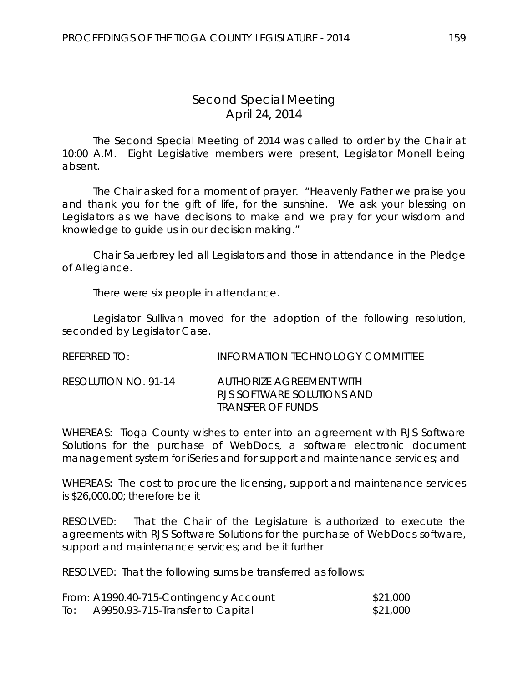## *Second Special Meeting* April 24, 2014

The Second Special Meeting of 2014 was called to order by the Chair at 10:00 A.M. Eight Legislative members were present, Legislator Monell being absent.

The Chair asked for a moment of prayer. "Heavenly Father we praise you and thank you for the gift of life, for the sunshine. We ask your blessing on Legislators as we have decisions to make and we pray for your wisdom and knowledge to guide us in our decision making."

Chair Sauerbrey led all Legislators and those in attendance in the Pledge of Allegiance.

There were six people in attendance.

Legislator Sullivan moved for the adoption of the following resolution, seconded by Legislator Case.

REFERRED TO: INFORMATION TECHNOLOGY COMMITTEE

RESOLUTION NO. 91-14 *AUTHORIZE AGREEMENT WITH RJS SOFTWARE SOLUTIONS AND TRANSFER OF FUNDS*

WHEREAS: Tioga County wishes to enter into an agreement with RJS Software Solutions for the purchase of WebDocs, a software electronic document management system for iSeries and for support and maintenance services; and

WHEREAS: The cost to procure the licensing, support and maintenance services is \$26,000.00; therefore be it

RESOLVED: That the Chair of the Legislature is authorized to execute the agreements with RJS Software Solutions for the purchase of WebDocs software, support and maintenance services; and be it further

RESOLVED: That the following sums be transferred as follows:

|     | From: A1990.40-715-Contingency Account | \$21,000 |
|-----|----------------------------------------|----------|
| To: | A9950.93-715-Transfer to Capital       | \$21,000 |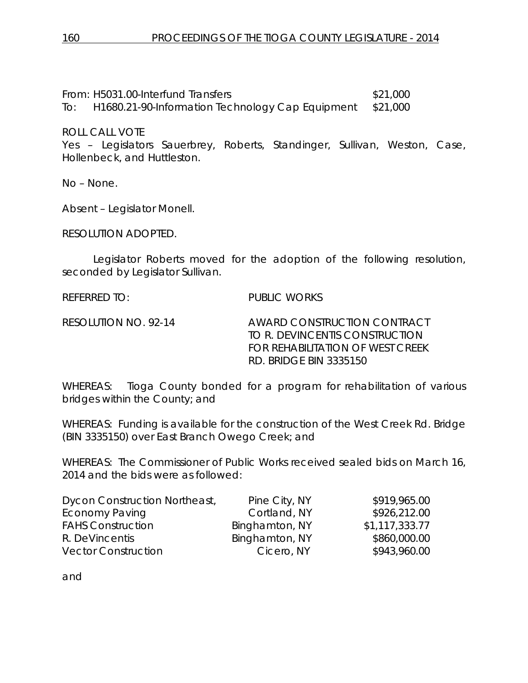From: H5031.00-Interfund Transfers \$21,000 To: H1680.21-90-Information Technology Cap Equipment \$21,000

ROLL CALL VOTE

Yes – Legislators Sauerbrey, Roberts, Standinger, Sullivan, Weston, Case, Hollenbeck, and Huttleston.

No – None.

Absent – Legislator Monell.

RESOLUTION ADOPTED.

Legislator Roberts moved for the adoption of the following resolution, seconded by Legislator Sullivan.

REFERRED TO: PUBLIC WORKS

RESOLUTION NO. 92-14 *AWARD CONSTRUCTION CONTRACT TO R. DEVINCENTIS CONSTRUCTION FOR REHABILITATION OF WEST CREEK RD. BRIDGE BIN 3335150*

WHEREAS: Tioga County bonded for a program for rehabilitation of various bridges within the County; and

WHEREAS: Funding is available for the construction of the West Creek Rd. Bridge (BIN 3335150) over East Branch Owego Creek; and

WHEREAS: The Commissioner of Public Works received sealed bids on March 16, 2014 and the bids were as followed:

| Dycon Construction Northeast, | Pine City, NY  | \$919,965.00   |
|-------------------------------|----------------|----------------|
| <b>Economy Paving</b>         | Cortland, NY   | \$926,212.00   |
| <b>FAHS Construction</b>      | Binghamton, NY | \$1,117,333.77 |
| R. DeVincentis                | Binghamton, NY | \$860,000.00   |
| <b>Vector Construction</b>    | Cicero, NY     | \$943,960.00   |

and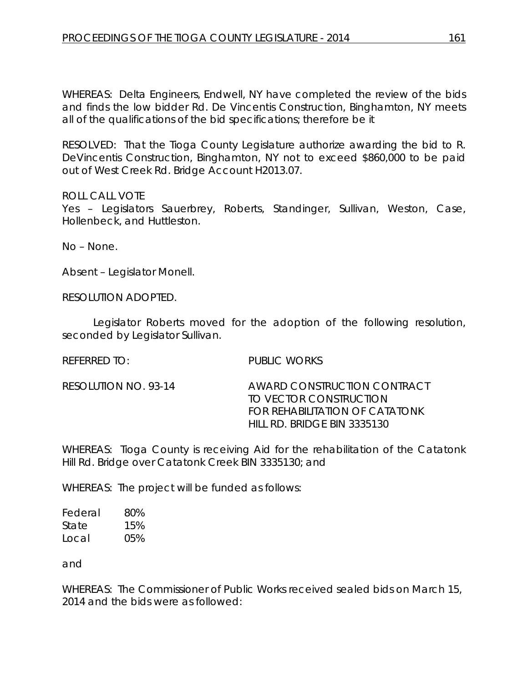WHEREAS: Delta Engineers, Endwell, NY have completed the review of the bids and finds the low bidder Rd. De Vincentis Construction, Binghamton, NY meets all of the qualifications of the bid specifications; therefore be it

RESOLVED: That the Tioga County Legislature authorize awarding the bid to R. DeVincentis Construction, Binghamton, NY not to exceed \$860,000 to be paid out of West Creek Rd. Bridge Account H2013.07.

## ROLL CALL VOTE

Yes – Legislators Sauerbrey, Roberts, Standinger, Sullivan, Weston, Case, Hollenbeck, and Huttleston.

No – None.

Absent – Legislator Monell.

RESOLUTION ADOPTED.

Legislator Roberts moved for the adoption of the following resolution, seconded by Legislator Sullivan.

REFERRED TO: PUBLIC WORKS

RESOLUTION NO. 93-14 *AWARD CONSTRUCTION CONTRACT TO VECTOR CONSTRUCTION FOR REHABILITATION OF CATATONK HILL RD. BRIDGE BIN 3335130*

WHEREAS: Tioga County is receiving Aid for the rehabilitation of the Catatonk Hill Rd. Bridge over Catatonk Creek BIN 3335130; and

WHEREAS: The project will be funded as follows:

Federal 80% State 15% Local 05%

and

WHEREAS: The Commissioner of Public Works received sealed bids on March 15, 2014 and the bids were as followed: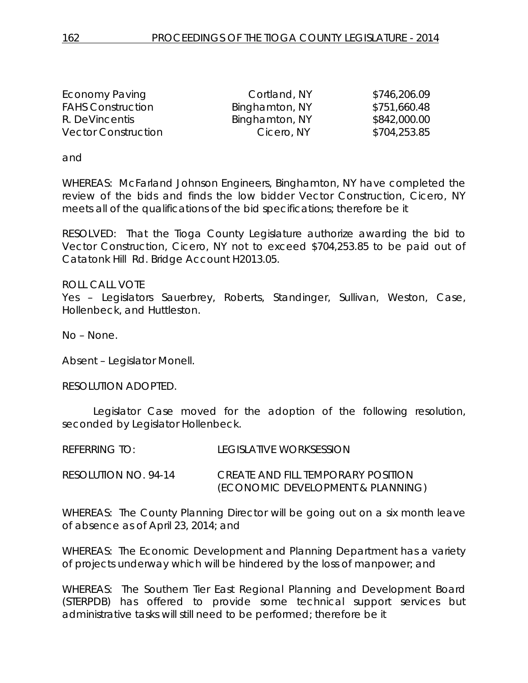| Economy Paving             | Cortland, NY   | \$746,206.09 |
|----------------------------|----------------|--------------|
| <b>FAHS Construction</b>   | Binghamton, NY | \$751,660.48 |
| R. DeVincentis             | Binghamton, NY | \$842,000.00 |
| <b>Vector Construction</b> | Cicero, NY     | \$704,253.85 |

and

WHEREAS: McFarland Johnson Engineers, Binghamton, NY have completed the review of the bids and finds the low bidder Vector Construction, Cicero, NY meets all of the qualifications of the bid specifications; therefore be it

RESOLVED: That the Tioga County Legislature authorize awarding the bid to Vector Construction, Cicero, NY not to exceed \$704,253.85 to be paid out of Catatonk Hill Rd. Bridge Account H2013.05.

ROLL CALL VOTE Yes – Legislators Sauerbrey, Roberts, Standinger, Sullivan, Weston, Case, Hollenbeck, and Huttleston.

No – None.

Absent – Legislator Monell.

RESOLUTION ADOPTED.

Legislator Case moved for the adoption of the following resolution, seconded by Legislator Hollenbeck.

REFERRING TO: LEGISLATIVE WORKSESSION

RESOLUTION NO. 94-14 *CREATE AND FILL TEMPORARY POSITION (ECONOMIC DEVELOPMENT & PLANNING)*

WHEREAS: The County Planning Director will be going out on a six month leave of absence as of April 23, 2014; and

WHEREAS: The Economic Development and Planning Department has a variety of projects underway which will be hindered by the loss of manpower; and

WHEREAS: The Southern Tier East Regional Planning and Development Board (STERPDB) has offered to provide some technical support services but administrative tasks will still need to be performed; therefore be it